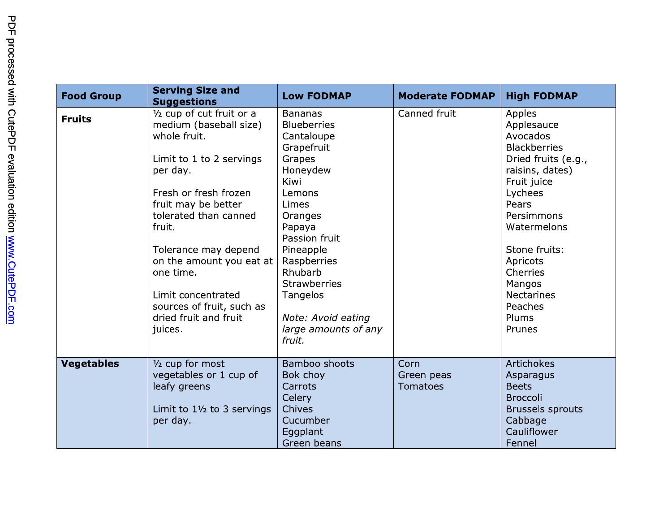| <b>Food Group</b> | <b>Serving Size and</b><br><b>Suggestions</b>                                                                                                                                                                                                                                                                                                          | <b>Low FODMAP</b>                                                                                                                                                                                                                                                                         | <b>Moderate FODMAP</b>                | <b>High FODMAP</b>                                                                                                                                                                                                                                                      |
|-------------------|--------------------------------------------------------------------------------------------------------------------------------------------------------------------------------------------------------------------------------------------------------------------------------------------------------------------------------------------------------|-------------------------------------------------------------------------------------------------------------------------------------------------------------------------------------------------------------------------------------------------------------------------------------------|---------------------------------------|-------------------------------------------------------------------------------------------------------------------------------------------------------------------------------------------------------------------------------------------------------------------------|
| <b>Fruits</b>     | 1/2 cup of cut fruit or a<br>medium (baseball size)<br>whole fruit.<br>Limit to 1 to 2 servings<br>per day.<br>Fresh or fresh frozen<br>fruit may be better<br>tolerated than canned<br>fruit.<br>Tolerance may depend<br>on the amount you eat at<br>one time.<br>Limit concentrated<br>sources of fruit, such as<br>dried fruit and fruit<br>juices. | <b>Bananas</b><br><b>Blueberries</b><br>Cantaloupe<br>Grapefruit<br>Grapes<br>Honeydew<br>Kiwi<br>Lemons<br>Limes<br>Oranges<br>Papaya<br>Passion fruit<br>Pineapple<br>Raspberries<br>Rhubarb<br><b>Strawberries</b><br>Tangelos<br>Note: Avoid eating<br>large amounts of any<br>fruit. | Canned fruit                          | Apples<br>Applesauce<br>Avocados<br><b>Blackberries</b><br>Dried fruits (e.g.,<br>raisins, dates)<br>Fruit juice<br>Lychees<br>Pears<br>Persimmons<br>Watermelons<br>Stone fruits:<br>Apricots<br>Cherries<br>Mangos<br><b>Nectarines</b><br>Peaches<br>Plums<br>Prunes |
| <b>Vegetables</b> | 1/2 cup for most<br>vegetables or 1 cup of<br>leafy greens<br>Limit to $1\frac{1}{2}$ to 3 servings<br>per day.                                                                                                                                                                                                                                        | Bamboo shoots<br>Bok choy<br>Carrots<br>Celery<br>Chives<br>Cucumber<br>Eggplant<br>Green beans                                                                                                                                                                                           | Corn<br>Green peas<br><b>Tomatoes</b> | <b>Artichokes</b><br>Asparagus<br><b>Beets</b><br><b>Broccoli</b><br><b>Brussels sprouts</b><br>Cabbage<br>Cauliflower<br>Fennel                                                                                                                                        |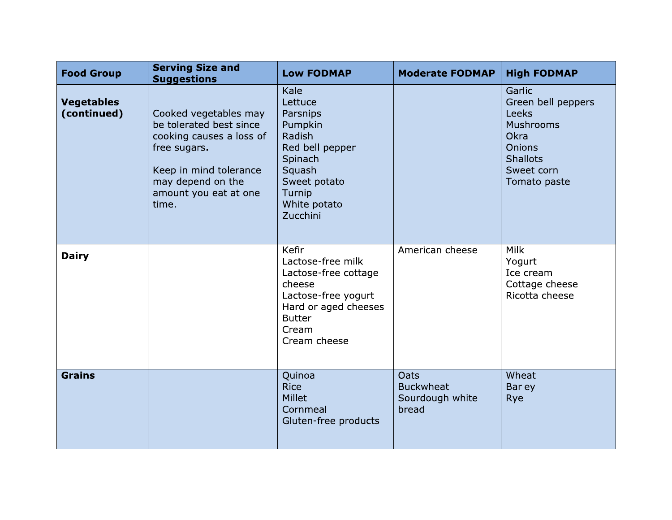| <b>Food Group</b>                | <b>Serving Size and</b><br><b>Suggestions</b>                                                                                                                                 | <b>Low FODMAP</b>                                                                                                                                     | <b>Moderate FODMAP</b>                                      | <b>High FODMAP</b>                                                                                                                  |
|----------------------------------|-------------------------------------------------------------------------------------------------------------------------------------------------------------------------------|-------------------------------------------------------------------------------------------------------------------------------------------------------|-------------------------------------------------------------|-------------------------------------------------------------------------------------------------------------------------------------|
| <b>Vegetables</b><br>(continued) | Cooked vegetables may<br>be tolerated best since<br>cooking causes a loss of<br>free sugars.<br>Keep in mind tolerance<br>may depend on the<br>amount you eat at one<br>time. | Kale<br>Lettuce<br>Parsnips<br>Pumpkin<br>Radish<br>Red bell pepper<br>Spinach<br>Squash<br>Sweet potato<br>Turnip<br>White potato<br>Zucchini        |                                                             | Garlic<br>Green bell peppers<br>Leeks<br><b>Mushrooms</b><br>Okra<br><b>Onions</b><br><b>Shallots</b><br>Sweet corn<br>Tomato paste |
| <b>Dairy</b>                     |                                                                                                                                                                               | Kefir<br>Lactose-free milk<br>Lactose-free cottage<br>cheese<br>Lactose-free yogurt<br>Hard or aged cheeses<br><b>Butter</b><br>Cream<br>Cream cheese | American cheese                                             | <b>Milk</b><br>Yogurt<br>Ice cream<br>Cottage cheese<br>Ricotta cheese                                                              |
| <b>Grains</b>                    |                                                                                                                                                                               | Quinoa<br><b>Rice</b><br>Millet<br>Cornmeal<br>Gluten-free products                                                                                   | <b>Oats</b><br><b>Buckwheat</b><br>Sourdough white<br>bread | Wheat<br><b>Barley</b><br>Rye                                                                                                       |